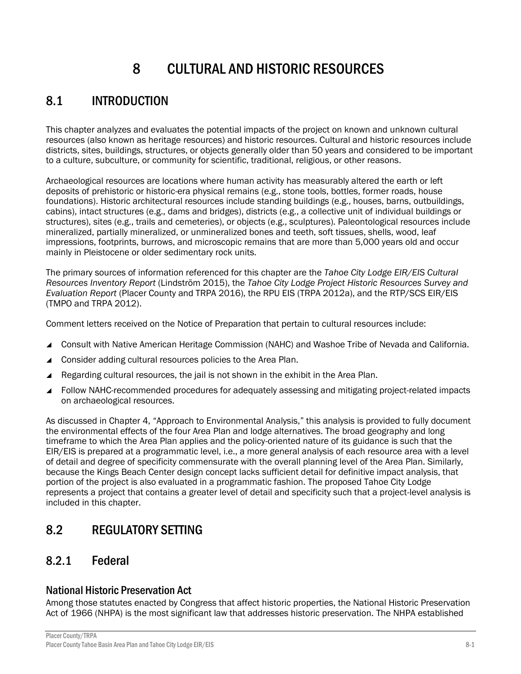# 8 CULTURAL AND HISTORIC RESOURCES

# 8.1 INTRODUCTION

This chapter analyzes and evaluates the potential impacts of the project on known and unknown cultural resources (also known as heritage resources) and historic resources. Cultural and historic resources include districts, sites, buildings, structures, or objects generally older than 50 years and considered to be important to a culture, subculture, or community for scientific, traditional, religious, or other reasons.

Archaeological resources are locations where human activity has measurably altered the earth or left deposits of prehistoric or historic-era physical remains (e.g., stone tools, bottles, former roads, house foundations). Historic architectural resources include standing buildings (e.g., houses, barns, outbuildings, cabins), intact structures (e.g., dams and bridges), districts (e.g., a collective unit of individual buildings or structures), sites (e.g., trails and cemeteries), or objects (e.g., sculptures). Paleontological resources include mineralized, partially mineralized, or unmineralized bones and teeth, soft tissues, shells, wood, leaf impressions, footprints, burrows, and microscopic remains that are more than 5,000 years old and occur mainly in Pleistocene or older sedimentary rock units.

The primary sources of information referenced for this chapter are the *Tahoe City Lodge EIR/EIS Cultural Resources Inventory Report* (Lindström 2015), the *Tahoe City Lodge Project Historic Resources Survey and Evaluation Report* (Placer County and TRPA 2016), the RPU EIS (TRPA 2012a), and the RTP/SCS EIR/EIS (TMPO and TRPA 2012).

Comment letters received on the Notice of Preparation that pertain to cultural resources include:

- Consult with Native American Heritage Commission (NAHC) and Washoe Tribe of Nevada and California.
- ▲ Consider adding cultural resources policies to the Area Plan.
- Regarding cultural resources, the jail is not shown in the exhibit in the Area Plan.
- Follow NAHC-recommended procedures for adequately assessing and mitigating project-related impacts on archaeological resources.

As discussed in Chapter 4, "Approach to Environmental Analysis," this analysis is provided to fully document the environmental effects of the four Area Plan and lodge alternatives. The broad geography and long timeframe to which the Area Plan applies and the policy-oriented nature of its guidance is such that the EIR/EIS is prepared at a programmatic level, i.e., a more general analysis of each resource area with a level of detail and degree of specificity commensurate with the overall planning level of the Area Plan. Similarly, because the Kings Beach Center design concept lacks sufficient detail for definitive impact analysis, that portion of the project is also evaluated in a programmatic fashion. The proposed Tahoe City Lodge represents a project that contains a greater level of detail and specificity such that a project-level analysis is included in this chapter.

# 8.2 REGULATORY SETTING

# 8.2.1 Federal

# National Historic Preservation Act

Among those statutes enacted by Congress that affect historic properties, the National Historic Preservation Act of 1966 (NHPA) is the most significant law that addresses historic preservation. The NHPA established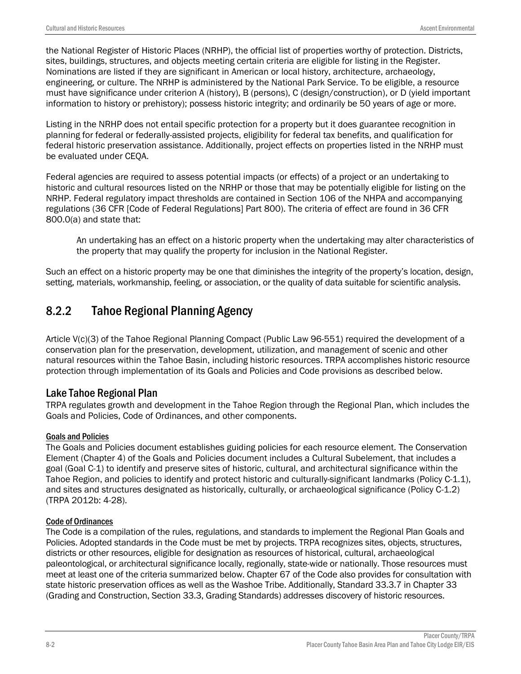the National Register of Historic Places (NRHP), the official list of properties worthy of protection. Districts, sites, buildings, structures, and objects meeting certain criteria are eligible for listing in the Register. Nominations are listed if they are significant in American or local history, architecture, archaeology, engineering, or culture. The NRHP is administered by the National Park Service. To be eligible, a resource must have significance under criterion A (history), B (persons), C (design/construction), or D (yield important information to history or prehistory); possess historic integrity; and ordinarily be 50 years of age or more.

Listing in the NRHP does not entail specific protection for a property but it does guarantee recognition in planning for federal or federally-assisted projects, eligibility for federal tax benefits, and qualification for federal historic preservation assistance. Additionally, project effects on properties listed in the NRHP must be evaluated under CEQA.

Federal agencies are required to assess potential impacts (or effects) of a project or an undertaking to historic and cultural resources listed on the NRHP or those that may be potentially eligible for listing on the NRHP. Federal regulatory impact thresholds are contained in Section 106 of the NHPA and accompanying regulations (36 CFR [Code of Federal Regulations] Part 800). The criteria of effect are found in 36 CFR 800.0(a) and state that:

An undertaking has an effect on a historic property when the undertaking may alter characteristics of the property that may qualify the property for inclusion in the National Register.

Such an effect on a historic property may be one that diminishes the integrity of the property's location, design, setting, materials, workmanship, feeling, or association, or the quality of data suitable for scientific analysis.

# 8.2.2 Tahoe Regional Planning Agency

Article V(c)(3) of the Tahoe Regional Planning Compact (Public Law 96-551) required the development of a conservation plan for the preservation, development, utilization, and management of scenic and other natural resources within the Tahoe Basin, including historic resources. TRPA accomplishes historic resource protection through implementation of its Goals and Policies and Code provisions as described below.

### Lake Tahoe Regional Plan

TRPA regulates growth and development in the Tahoe Region through the Regional Plan, which includes the Goals and Policies, Code of Ordinances, and other components.

#### Goals and Policies

The Goals and Policies document establishes guiding policies for each resource element. The Conservation Element (Chapter 4) of the Goals and Policies document includes a Cultural Subelement, that includes a goal (Goal C-1) to identify and preserve sites of historic, cultural, and architectural significance within the Tahoe Region, and policies to identify and protect historic and culturally-significant landmarks (Policy C-1.1), and sites and structures designated as historically, culturally, or archaeological significance (Policy C-1.2) (TRPA 2012b: 4-28).

#### Code of Ordinances

The Code is a compilation of the rules, regulations, and standards to implement the Regional Plan Goals and Policies. Adopted standards in the Code must be met by projects. TRPA recognizes sites, objects, structures, districts or other resources, eligible for designation as resources of historical, cultural, archaeological paleontological, or architectural significance locally, regionally, state-wide or nationally. Those resources must meet at least one of the criteria summarized below. Chapter 67 of the Code also provides for consultation with state historic preservation offices as well as the Washoe Tribe. Additionally, Standard 33.3.7 in Chapter 33 (Grading and Construction, Section 33.3, Grading Standards) addresses discovery of historic resources.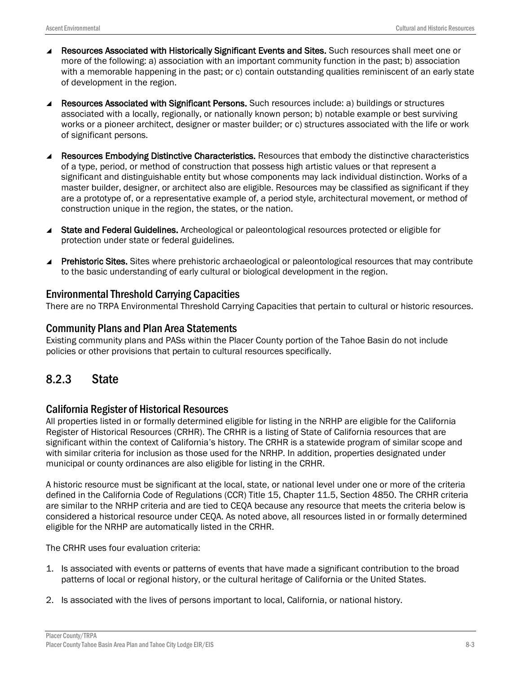- Resources Associated with Historically Significant Events and Sites. Such resources shall meet one or more of the following: a) association with an important community function in the past; b) association with a memorable happening in the past; or c) contain outstanding qualities reminiscent of an early state of development in the region.
- ▲ Resources Associated with Significant Persons. Such resources include: a) buildings or structures associated with a locally, regionally, or nationally known person; b) notable example or best surviving works or a pioneer architect, designer or master builder; or c) structures associated with the life or work of significant persons.
- Resources Embodying Distinctive Characteristics. Resources that embody the distinctive characteristics of a type, period, or method of construction that possess high artistic values or that represent a significant and distinguishable entity but whose components may lack individual distinction. Works of a master builder, designer, or architect also are eligible. Resources may be classified as significant if they are a prototype of, or a representative example of, a period style, architectural movement, or method of construction unique in the region, the states, or the nation.
- ▲ State and Federal Guidelines. Archeological or paleontological resources protected or eligible for protection under state or federal guidelines.
- **Prehistoric Sites.** Sites where prehistoric archaeological or paleontological resources that may contribute to the basic understanding of early cultural or biological development in the region.

## Environmental Threshold Carrying Capacities

There are no TRPA Environmental Threshold Carrying Capacities that pertain to cultural or historic resources.

## Community Plans and Plan Area Statements

Existing community plans and PASs within the Placer County portion of the Tahoe Basin do not include policies or other provisions that pertain to cultural resources specifically.

# 8.2.3 State

### California Register of Historical Resources

All properties listed in or formally determined eligible for listing in the NRHP are eligible for the California Register of Historical Resources (CRHR). The CRHR is a listing of State of California resources that are significant within the context of California's history. The CRHR is a statewide program of similar scope and with similar criteria for inclusion as those used for the NRHP. In addition, properties designated under municipal or county ordinances are also eligible for listing in the CRHR.

A historic resource must be significant at the local, state, or national level under one or more of the criteria defined in the California Code of Regulations (CCR) Title 15, Chapter 11.5, Section 4850. The CRHR criteria are similar to the NRHP criteria and are tied to CEQA because any resource that meets the criteria below is considered a historical resource under CEQA. As noted above, all resources listed in or formally determined eligible for the NRHP are automatically listed in the CRHR.

The CRHR uses four evaluation criteria:

- 1. Is associated with events or patterns of events that have made a significant contribution to the broad patterns of local or regional history, or the cultural heritage of California or the United States.
- 2. Is associated with the lives of persons important to local, California, or national history.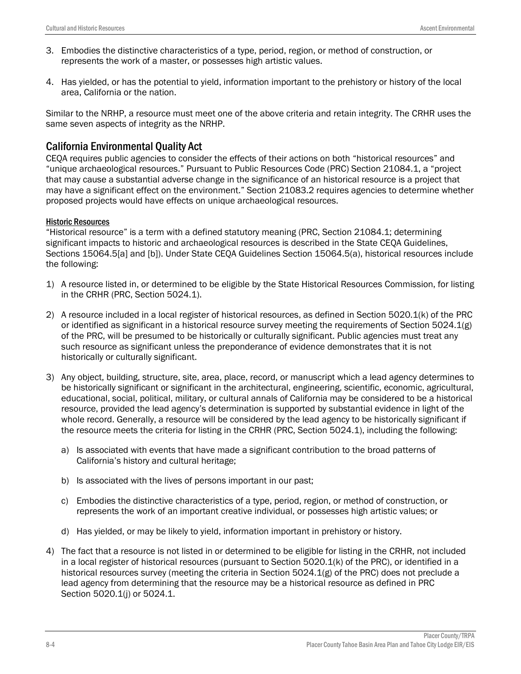- 3. Embodies the distinctive characteristics of a type, period, region, or method of construction, or represents the work of a master, or possesses high artistic values.
- 4. Has yielded, or has the potential to yield, information important to the prehistory or history of the local area, California or the nation.

Similar to the NRHP, a resource must meet one of the above criteria and retain integrity. The CRHR uses the same seven aspects of integrity as the NRHP.

# California Environmental Quality Act

CEQA requires public agencies to consider the effects of their actions on both "historical resources" and "unique archaeological resources." Pursuant to Public Resources Code (PRC) Section 21084.1, a "project that may cause a substantial adverse change in the significance of an historical resource is a project that may have a significant effect on the environment." Section 21083.2 requires agencies to determine whether proposed projects would have effects on unique archaeological resources.

#### Historic Resources

"Historical resource" is a term with a defined statutory meaning (PRC, Section 21084.1; determining significant impacts to historic and archaeological resources is described in the State CEQA Guidelines, Sections 15064.5[a] and [b]). Under State CEQA Guidelines Section 15064.5(a), historical resources include the following:

- 1) A resource listed in, or determined to be eligible by the State Historical Resources Commission, for listing in the CRHR (PRC, Section 5024.1).
- 2) A resource included in a local register of historical resources, as defined in Section 5020.1(k) of the PRC or identified as significant in a historical resource survey meeting the requirements of Section 5024.1(g) of the PRC, will be presumed to be historically or culturally significant. Public agencies must treat any such resource as significant unless the preponderance of evidence demonstrates that it is not historically or culturally significant.
- 3) Any object, building, structure, site, area, place, record, or manuscript which a lead agency determines to be historically significant or significant in the architectural, engineering, scientific, economic, agricultural, educational, social, political, military, or cultural annals of California may be considered to be a historical resource, provided the lead agency's determination is supported by substantial evidence in light of the whole record. Generally, a resource will be considered by the lead agency to be historically significant if the resource meets the criteria for listing in the CRHR (PRC, Section 5024.1), including the following:
	- a) Is associated with events that have made a significant contribution to the broad patterns of California's history and cultural heritage;
	- b) Is associated with the lives of persons important in our past;
	- c) Embodies the distinctive characteristics of a type, period, region, or method of construction, or represents the work of an important creative individual, or possesses high artistic values; or
	- d) Has yielded, or may be likely to yield, information important in prehistory or history.
- 4) The fact that a resource is not listed in or determined to be eligible for listing in the CRHR, not included in a local register of historical resources (pursuant to Section 5020.1(k) of the PRC), or identified in a historical resources survey (meeting the criteria in Section 5024.1(g) of the PRC) does not preclude a lead agency from determining that the resource may be a historical resource as defined in PRC Section 5020.1(j) or 5024.1.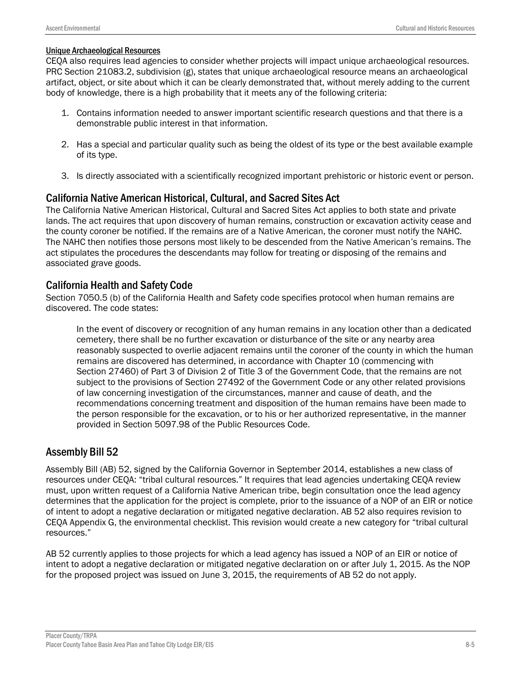#### Unique Archaeological Resources

CEQA also requires lead agencies to consider whether projects will impact unique archaeological resources. PRC Section 21083.2, subdivision (g), states that unique archaeological resource means an archaeological artifact, object, or site about which it can be clearly demonstrated that, without merely adding to the current body of knowledge, there is a high probability that it meets any of the following criteria:

- 1. Contains information needed to answer important scientific research questions and that there is a demonstrable public interest in that information.
- 2. Has a special and particular quality such as being the oldest of its type or the best available example of its type.
- 3. Is directly associated with a scientifically recognized important prehistoric or historic event or person.

## California Native American Historical, Cultural, and Sacred Sites Act

The California Native American Historical, Cultural and Sacred Sites Act applies to both state and private lands. The act requires that upon discovery of human remains, construction or excavation activity cease and the county coroner be notified. If the remains are of a Native American, the coroner must notify the NAHC. The NAHC then notifies those persons most likely to be descended from the Native American's remains. The act stipulates the procedures the descendants may follow for treating or disposing of the remains and associated grave goods.

## California Health and Safety Code

Section 7050.5 (b) of the California Health and Safety code specifies protocol when human remains are discovered. The code states:

In the event of discovery or recognition of any human remains in any location other than a dedicated cemetery, there shall be no further excavation or disturbance of the site or any nearby area reasonably suspected to overlie adjacent remains until the coroner of the county in which the human remains are discovered has determined, in accordance with Chapter 10 (commencing with Section 27460) of Part 3 of Division 2 of Title 3 of the Government Code, that the remains are not subject to the provisions of Section 27492 of the Government Code or any other related provisions of law concerning investigation of the circumstances, manner and cause of death, and the recommendations concerning treatment and disposition of the human remains have been made to the person responsible for the excavation, or to his or her authorized representative, in the manner provided in Section 5097.98 of the Public Resources Code.

### Assembly Bill 52

Assembly Bill (AB) 52, signed by the California Governor in September 2014, establishes a new class of resources under CEQA: "tribal cultural resources." It requires that lead agencies undertaking CEQA review must, upon written request of a California Native American tribe, begin consultation once the lead agency determines that the application for the project is complete, prior to the issuance of a NOP of an EIR or notice of intent to adopt a negative declaration or mitigated negative declaration. AB 52 also requires revision to CEQA Appendix G, the environmental checklist. This revision would create a new category for "tribal cultural resources."

AB 52 currently applies to those projects for which a lead agency has issued a NOP of an EIR or notice of intent to adopt a negative declaration or mitigated negative declaration on or after July 1, 2015. As the NOP for the proposed project was issued on June 3, 2015, the requirements of AB 52 do not apply.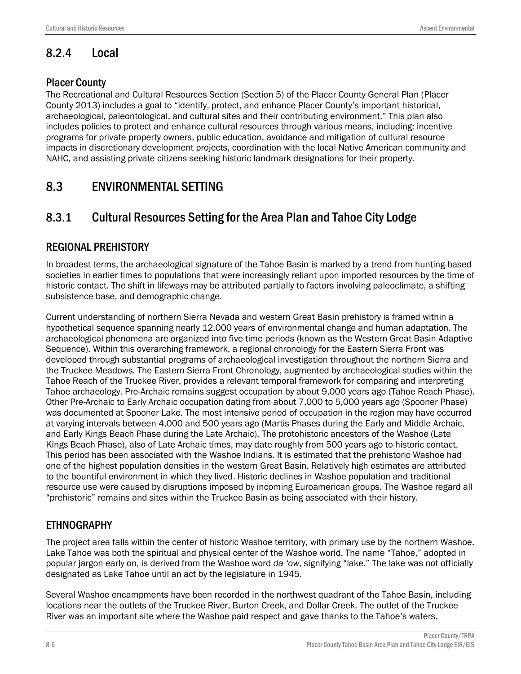# 8.2.4 Local

# Placer County

The Recreational and Cultural Resources Section (Section 5) of the Placer County General Plan (Placer County 2013) includes a goal to "identify, protect, and enhance Placer County's important historical, archaeological, paleontological, and cultural sites and their contributing environment." This plan also includes policies to protect and enhance cultural resources through various means, including: incentive programs for private property owners, public education, avoidance and mitigation of cultural resource impacts in discretionary development projects, coordination with the local Native American community and NAHC, and assisting private citizens seeking historic landmark designations for their property.

# 8.3 ENVIRONMENTAL SETTING

# 8.3.1 Cultural Resources Setting for the Area Plan and Tahoe City Lodge

# REGIONAL PREHISTORY

In broadest terms, the archaeological signature of the Tahoe Basin is marked by a trend from hunting-based societies in earlier times to populations that were increasingly reliant upon imported resources by the time of historic contact. The shift in lifeways may be attributed partially to factors involving paleoclimate, a shifting subsistence base, and demographic change.

Current understanding of northern Sierra Nevada and western Great Basin prehistory is framed within a hypothetical sequence spanning nearly 12,000 years of environmental change and human adaptation. The archaeological phenomena are organized into five time periods (known as the Western Great Basin Adaptive Sequence). Within this overarching framework, a regional chronology for the Eastern Sierra Front was developed through substantial programs of archaeological investigation throughout the northern Sierra and the Truckee Meadows. The Eastern Sierra Front Chronology, augmented by archaeological studies within the Tahoe Reach of the Truckee River, provides a relevant temporal framework for comparing and interpreting Tahoe archaeology. Pre-Archaic remains suggest occupation by about 9,000 years ago (Tahoe Reach Phase). Other Pre-Archaic to Early Archaic occupation dating from about 7,000 to 5,000 years ago (Spooner Phase) was documented at Spooner Lake. The most intensive period of occupation in the region may have occurred at varying intervals between 4,000 and 500 years ago (Martis Phases during the Early and Middle Archaic, and Early Kings Beach Phase during the Late Archaic). The protohistoric ancestors of the Washoe (Late Kings Beach Phase), also of Late Archaic times, may date roughly from 500 years ago to historic contact. This period has been associated with the Washoe Indians. It is estimated that the prehistoric Washoe had one of the highest population densities in the western Great Basin. Relatively high estimates are attributed to the bountiful environment in which they lived. Historic declines in Washoe population and traditional resource use were caused by disruptions imposed by incoming Euroamerican groups. The Washoe regard all "prehistoric" remains and sites within the Truckee Basin as being associated with their history.

# ETHNOGRAPHY

The project area falls within the center of historic Washoe territory, with primary use by the northern Washoe. Lake Tahoe was both the spiritual and physical center of the Washoe world. The name "Tahoe," adopted in popular jargon early on, is derived from the Washoe word *da 'ow*, signifying "lake." The lake was not officially designated as Lake Tahoe until an act by the legislature in 1945.

Several Washoe encampments have been recorded in the northwest quadrant of the Tahoe Basin, including locations near the outlets of the Truckee River, Burton Creek, and Dollar Creek. The outlet of the Truckee River was an important site where the Washoe paid respect and gave thanks to the Tahoe's waters.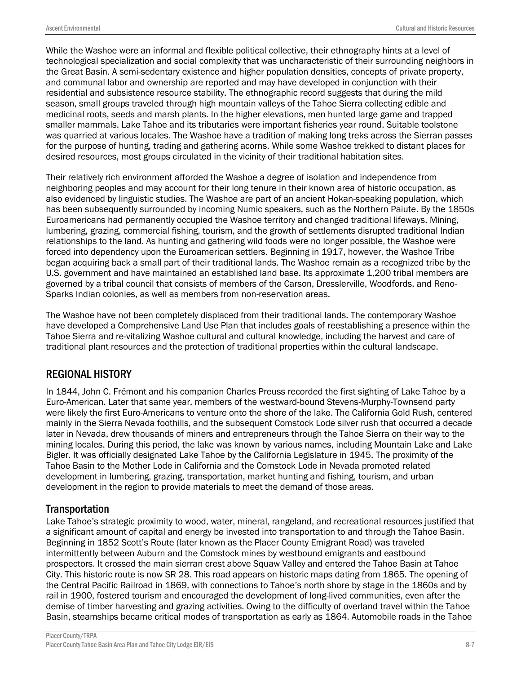While the Washoe were an informal and flexible political collective, their ethnography hints at a level of technological specialization and social complexity that was uncharacteristic of their surrounding neighbors in the Great Basin. A semi-sedentary existence and higher population densities, concepts of private property, and communal labor and ownership are reported and may have developed in conjunction with their residential and subsistence resource stability. The ethnographic record suggests that during the mild season, small groups traveled through high mountain valleys of the Tahoe Sierra collecting edible and medicinal roots, seeds and marsh plants. In the higher elevations, men hunted large game and trapped smaller mammals. Lake Tahoe and its tributaries were important fisheries year round. Suitable toolstone was quarried at various locales. The Washoe have a tradition of making long treks across the Sierran passes for the purpose of hunting, trading and gathering acorns. While some Washoe trekked to distant places for desired resources, most groups circulated in the vicinity of their traditional habitation sites.

Their relatively rich environment afforded the Washoe a degree of isolation and independence from neighboring peoples and may account for their long tenure in their known area of historic occupation, as also evidenced by linguistic studies. The Washoe are part of an ancient Hokan-speaking population, which has been subsequently surrounded by incoming Numic speakers, such as the Northern Paiute. By the 1850s Euroamericans had permanently occupied the Washoe territory and changed traditional lifeways. Mining, lumbering, grazing, commercial fishing, tourism, and the growth of settlements disrupted traditional Indian relationships to the land. As hunting and gathering wild foods were no longer possible, the Washoe were forced into dependency upon the Euroamerican settlers. Beginning in 1917, however, the Washoe Tribe began acquiring back a small part of their traditional lands. The Washoe remain as a recognized tribe by the U.S. government and have maintained an established land base. Its approximate 1,200 tribal members are governed by a tribal council that consists of members of the Carson, Dresslerville, Woodfords, and Reno-Sparks Indian colonies, as well as members from non-reservation areas.

The Washoe have not been completely displaced from their traditional lands. The contemporary Washoe have developed a Comprehensive Land Use Plan that includes goals of reestablishing a presence within the Tahoe Sierra and re-vitalizing Washoe cultural and cultural knowledge, including the harvest and care of traditional plant resources and the protection of traditional properties within the cultural landscape.

# REGIONAL HISTORY

In 1844, John C. Frémont and his companion Charles Preuss recorded the first sighting of Lake Tahoe by a Euro-American. Later that same year, members of the westward-bound Stevens-Murphy-Townsend party were likely the first Euro-Americans to venture onto the shore of the lake. The California Gold Rush, centered mainly in the Sierra Nevada foothills, and the subsequent Comstock Lode silver rush that occurred a decade later in Nevada, drew thousands of miners and entrepreneurs through the Tahoe Sierra on their way to the mining locales. During this period, the lake was known by various names, including Mountain Lake and Lake Bigler. It was officially designated Lake Tahoe by the California Legislature in 1945. The proximity of the Tahoe Basin to the Mother Lode in California and the Comstock Lode in Nevada promoted related development in lumbering, grazing, transportation, market hunting and fishing, tourism, and urban development in the region to provide materials to meet the demand of those areas.

# **Transportation**

Lake Tahoe's strategic proximity to wood, water, mineral, rangeland, and recreational resources justified that a significant amount of capital and energy be invested into transportation to and through the Tahoe Basin. Beginning in 1852 Scott's Route (later known as the Placer County Emigrant Road) was traveled intermittently between Auburn and the Comstock mines by westbound emigrants and eastbound prospectors. It crossed the main sierran crest above Squaw Valley and entered the Tahoe Basin at Tahoe City. This historic route is now SR 28. This road appears on historic maps dating from 1865. The opening of the Central Pacific Railroad in 1869, with connections to Tahoe's north shore by stage in the 1860s and by rail in 1900, fostered tourism and encouraged the development of long-lived communities, even after the demise of timber harvesting and grazing activities. Owing to the difficulty of overland travel within the Tahoe Basin, steamships became critical modes of transportation as early as 1864. Automobile roads in the Tahoe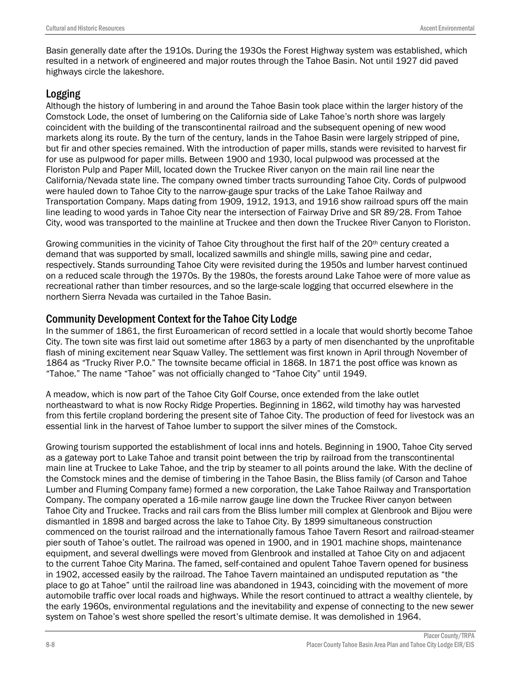Basin generally date after the 191Os. During the 193Os the Forest Highway system was established, which resulted in a network of engineered and major routes through the Tahoe Basin. Not until 1927 did paved highways circle the lakeshore.

## Logging

Although the history of lumbering in and around the Tahoe Basin took place within the larger history of the Comstock Lode, the onset of lumbering on the California side of Lake Tahoe's north shore was largely coincident with the building of the transcontinental railroad and the subsequent opening of new wood markets along its route. By the turn of the century, lands in the Tahoe Basin were largely stripped of pine, but fir and other species remained. With the introduction of paper mills, stands were revisited to harvest fir for use as pulpwood for paper mills. Between 1900 and 1930, local pulpwood was processed at the Floriston Pulp and Paper Mill, located down the Truckee River canyon on the main rail line near the California/Nevada state line. The company owned timber tracts surrounding Tahoe City. Cords of pulpwood were hauled down to Tahoe City to the narrow-gauge spur tracks of the Lake Tahoe Railway and Transportation Company. Maps dating from 1909, 1912, 1913, and 1916 show railroad spurs off the main line leading to wood yards in Tahoe City near the intersection of Fairway Drive and SR 89/28. From Tahoe City, wood was transported to the mainline at Truckee and then down the Truckee River Canyon to Floriston.

Growing communities in the vicinity of Tahoe City throughout the first half of the 20<sup>th</sup> century created a demand that was supported by small, localized sawmills and shingle mills, sawing pine and cedar, respectively. Stands surrounding Tahoe City were revisited during the 1950s and lumber harvest continued on a reduced scale through the 1970s. By the 1980s, the forests around Lake Tahoe were of more value as recreational rather than timber resources, and so the large-scale logging that occurred elsewhere in the northern Sierra Nevada was curtailed in the Tahoe Basin.

# Community Development Context for the Tahoe City Lodge

In the summer of 1861, the first Euroamerican of record settled in a locale that would shortly become Tahoe City. The town site was first laid out sometime after 1863 by a party of men disenchanted by the unprofitable flash of mining excitement near Squaw Valley. The settlement was first known in April through November of 1864 as "Trucky River P.O." The townsite became official in 1868. In 1871 the post office was known as "Tahoe." The name "Tahoe" was not officially changed to "Tahoe City" until 1949.

A meadow, which is now part of the Tahoe City Golf Course, once extended from the lake outlet northeastward to what is now Rocky Ridge Properties. Beginning in 1862, wild timothy hay was harvested from this fertile cropland bordering the present site of Tahoe City. The production of feed for livestock was an essential link in the harvest of Tahoe lumber to support the silver mines of the Comstock.

Growing tourism supported the establishment of local inns and hotels. Beginning in 1900, Tahoe City served as a gateway port to Lake Tahoe and transit point between the trip by railroad from the transcontinental main line at Truckee to Lake Tahoe, and the trip by steamer to all points around the lake. With the decline of the Comstock mines and the demise of timbering in the Tahoe Basin, the Bliss family (of Carson and Tahoe Lumber and Fluming Company fame) formed a new corporation, the Lake Tahoe Railway and Transportation Company. The company operated a 16-mile narrow gauge line down the Truckee River canyon between Tahoe City and Truckee. Tracks and rail cars from the Bliss lumber mill complex at Glenbrook and Bijou were dismantled in 1898 and barged across the lake to Tahoe City. By 1899 simultaneous construction commenced on the tourist railroad and the internationally famous Tahoe Tavern Resort and railroad-steamer pier south of Tahoe's outlet. The railroad was opened in 1900, and in 1901 machine shops, maintenance equipment, and several dwellings were moved from Glenbrook and installed at Tahoe City on and adjacent to the current Tahoe City Marina. The famed, self-contained and opulent Tahoe Tavern opened for business in 1902, accessed easily by the railroad. The Tahoe Tavern maintained an undisputed reputation as "the place to go at Tahoe" until the railroad line was abandoned in 1943, coinciding with the movement of more automobile traffic over local roads and highways. While the resort continued to attract a wealthy clientele, by the early 1960s, environmental regulations and the inevitability and expense of connecting to the new sewer system on Tahoe's west shore spelled the resort's ultimate demise. It was demolished in 1964.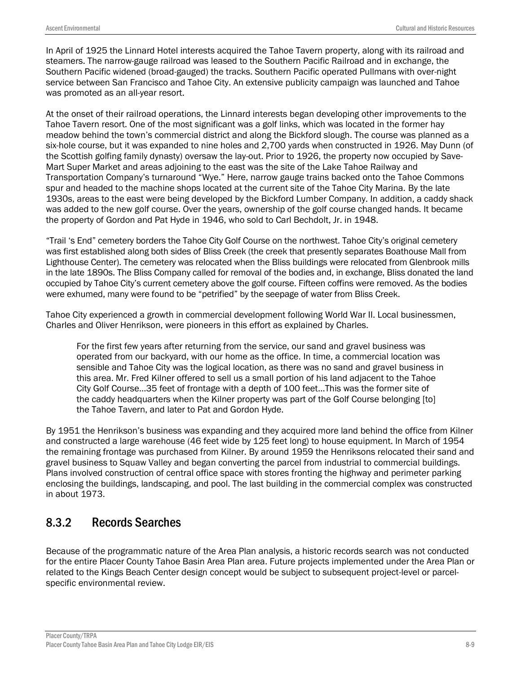In April of 1925 the Linnard Hotel interests acquired the Tahoe Tavern property, along with its railroad and steamers. The narrow-gauge railroad was leased to the Southern Pacific Railroad and in exchange, the Southern Pacific widened (broad-gauged) the tracks. Southern Pacific operated Pullmans with over-night service between San Francisco and Tahoe City. An extensive publicity campaign was launched and Tahoe was promoted as an all-year resort.

At the onset of their railroad operations, the Linnard interests began developing other improvements to the Tahoe Tavern resort. One of the most significant was a golf links, which was located in the former hay meadow behind the town's commercial district and along the Bickford slough. The course was planned as a six-hole course, but it was expanded to nine holes and 2,700 yards when constructed in 1926. May Dunn (of the Scottish golfing family dynasty) oversaw the lay-out. Prior to 1926, the property now occupied by Save-Mart Super Market and areas adjoining to the east was the site of the Lake Tahoe Railway and Transportation Company's turnaround "Wye." Here, narrow gauge trains backed onto the Tahoe Commons spur and headed to the machine shops located at the current site of the Tahoe City Marina. By the late 1930s, areas to the east were being developed by the Bickford Lumber Company. In addition, a caddy shack was added to the new golf course. Over the years, ownership of the golf course changed hands. It became the property of Gordon and Pat Hyde in 1946, who sold to Carl Bechdolt, Jr. in 1948.

"Trail 's End" cemetery borders the Tahoe City Golf Course on the northwest. Tahoe City's original cemetery was first established along both sides of Bliss Creek (the creek that presently separates Boathouse Mall from Lighthouse Center). The cemetery was relocated when the Bliss buildings were relocated from Glenbrook mills in the late 1890s. The Bliss Company called for removal of the bodies and, in exchange, Bliss donated the land occupied by Tahoe City's current cemetery above the golf course. Fifteen coffins were removed. As the bodies were exhumed, many were found to be "petrified" by the seepage of water from Bliss Creek.

Tahoe City experienced a growth in commercial development following World War II. Local businessmen, Charles and Oliver Henrikson, were pioneers in this effort as explained by Charles.

For the first few years after returning from the service, our sand and gravel business was operated from our backyard, with our home as the office. In time, a commercial location was sensible and Tahoe City was the logical location, as there was no sand and gravel business in this area. Mr. Fred Kilner offered to sell us a small portion of his land adjacent to the Tahoe City Golf Course…35 feet of frontage with a depth of 100 feet…This was the former site of the caddy headquarters when the Kilner property was part of the Golf Course belonging [to] the Tahoe Tavern, and later to Pat and Gordon Hyde.

By 1951 the Henrikson's business was expanding and they acquired more land behind the office from Kilner and constructed a large warehouse (46 feet wide by 125 feet long) to house equipment. In March of 1954 the remaining frontage was purchased from Kilner. By around 1959 the Henriksons relocated their sand and gravel business to Squaw Valley and began converting the parcel from industrial to commercial buildings. Plans involved construction of central office space with stores fronting the highway and perimeter parking enclosing the buildings, landscaping, and pool. The last building in the commercial complex was constructed in about 1973.

# 8.3.2 Records Searches

Because of the programmatic nature of the Area Plan analysis, a historic records search was not conducted for the entire Placer County Tahoe Basin Area Plan area. Future projects implemented under the Area Plan or related to the Kings Beach Center design concept would be subject to subsequent project-level or parcelspecific environmental review.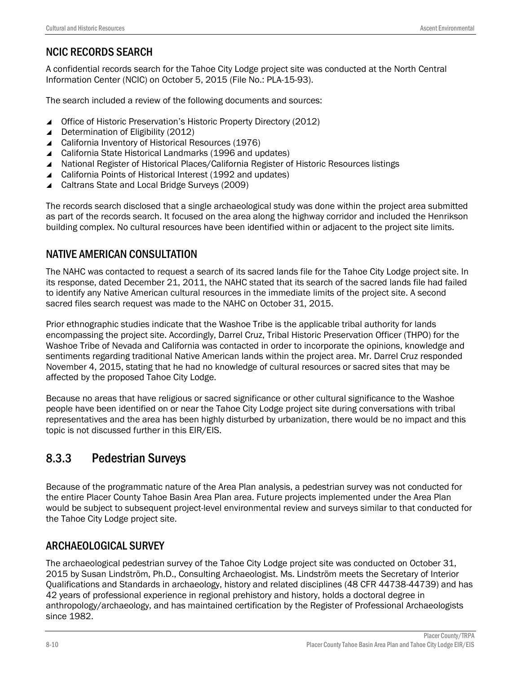# NCIC RECORDS SEARCH

A confidential records search for the Tahoe City Lodge project site was conducted at the North Central Information Center (NCIC) on October 5, 2015 (File No.: PLA-15-93).

The search included a review of the following documents and sources:

- ▲ Office of Historic Preservation's Historic Property Directory (2012)
- ▲ Determination of Eligibility (2012)
- ▲ California Inventory of Historical Resources (1976)
- ▲ California State Historical Landmarks (1996 and updates)
- National Register of Historical Places/California Register of Historic Resources listings
- ▲ California Points of Historical Interest (1992 and updates)
- ▲ Caltrans State and Local Bridge Surveys (2009)

The records search disclosed that a single archaeological study was done within the project area submitted as part of the records search. It focused on the area along the highway corridor and included the Henrikson building complex. No cultural resources have been identified within or adjacent to the project site limits.

# NATIVE AMERICAN CONSULTATION

The NAHC was contacted to request a search of its sacred lands file for the Tahoe City Lodge project site. In its response, dated December 21, 2011, the NAHC stated that its search of the sacred lands file had failed to identify any Native American cultural resources in the immediate limits of the project site. A second sacred files search request was made to the NAHC on October 31, 2015.

Prior ethnographic studies indicate that the Washoe Tribe is the applicable tribal authority for lands encompassing the project site. Accordingly, Darrel Cruz, Tribal Historic Preservation Officer (THPO) for the Washoe Tribe of Nevada and California was contacted in order to incorporate the opinions, knowledge and sentiments regarding traditional Native American lands within the project area. Mr. Darrel Cruz responded November 4, 2015, stating that he had no knowledge of cultural resources or sacred sites that may be affected by the proposed Tahoe City Lodge.

Because no areas that have religious or sacred significance or other cultural significance to the Washoe people have been identified on or near the Tahoe City Lodge project site during conversations with tribal representatives and the area has been highly disturbed by urbanization, there would be no impact and this topic is not discussed further in this EIR/EIS.

# 8.3.3 Pedestrian Surveys

Because of the programmatic nature of the Area Plan analysis, a pedestrian survey was not conducted for the entire Placer County Tahoe Basin Area Plan area. Future projects implemented under the Area Plan would be subject to subsequent project-level environmental review and surveys similar to that conducted for the Tahoe City Lodge project site.

# ARCHAEOLOGICAL SURVEY

The archaeological pedestrian survey of the Tahoe City Lodge project site was conducted on October 31, 2015 by Susan Lindström, Ph.D., Consulting Archaeologist. Ms. Lindström meets the Secretary of Interior Qualifications and Standards in archaeology, history and related disciplines (48 CFR 44738-44739) and has 42 years of professional experience in regional prehistory and history, holds a doctoral degree in anthropology/archaeology, and has maintained certification by the Register of Professional Archaeologists since 1982.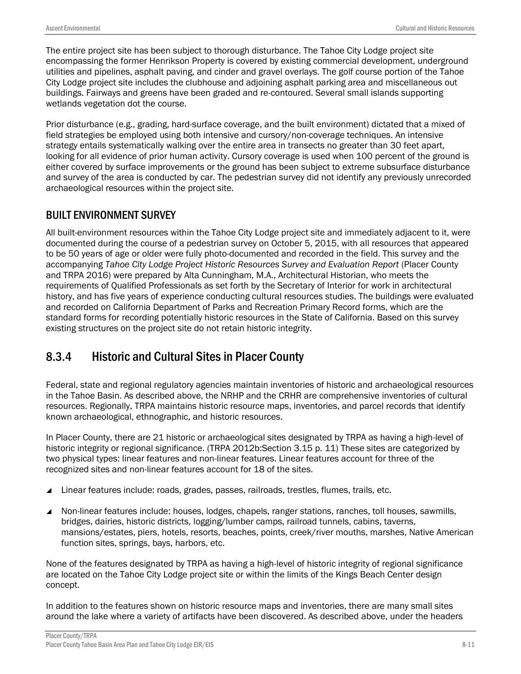The entire project site has been subject to thorough disturbance. The Tahoe City Lodge project site encompassing the former Henrikson Property is covered by existing commercial development, underground utilities and pipelines, asphalt paving, and cinder and gravel overlays. The golf course portion of the Tahoe City Lodge project site includes the clubhouse and adjoining asphalt parking area and miscellaneous out buildings. Fairways and greens have been graded and re-contoured. Several small islands supporting wetlands vegetation dot the course.

Prior disturbance (e.g., grading, hard-surface coverage, and the built environment) dictated that a mixed of field strategies be employed using both intensive and cursory/non-coverage techniques. An intensive strategy entails systematically walking over the entire area in transects no greater than 30 feet apart, looking for all evidence of prior human activity. Cursory coverage is used when 100 percent of the ground is either covered by surface improvements or the ground has been subject to extreme subsurface disturbance and survey of the area is conducted by car. The pedestrian survey did not identify any previously unrecorded archaeological resources within the project site.

# BUILT ENVIRONMENT SURVEY

All built-environment resources within the Tahoe City Lodge project site and immediately adjacent to it, were documented during the course of a pedestrian survey on October 5, 2015, with all resources that appeared to be 50 years of age or older were fully photo-documented and recorded in the field. This survey and the accompanying *Tahoe City Lodge Project Historic Resources Survey and Evaluation Report* (Placer County and TRPA 2016) were prepared by Alta Cunningham, M.A., Architectural Historian, who meets the requirements of Qualified Professionals as set forth by the Secretary of Interior for work in architectural history, and has five years of experience conducting cultural resources studies. The buildings were evaluated and recorded on California Department of Parks and Recreation Primary Record forms, which are the standard forms for recording potentially historic resources in the State of California. Based on this survey existing structures on the project site do not retain historic integrity.

# 8.3.4 Historic and Cultural Sites in Placer County

Federal, state and regional regulatory agencies maintain inventories of historic and archaeological resources in the Tahoe Basin. As described above, the NRHP and the CRHR are comprehensive inventories of cultural resources. Regionally, TRPA maintains historic resource maps, inventories, and parcel records that identify known archaeological, ethnographic, and historic resources.

In Placer County, there are 21 historic or archaeological sites designated by TRPA as having a high-level of historic integrity or regional significance. (TRPA 2012b: Section 3.15 p. 11) These sites are categorized by two physical types: linear features and non-linear features. Linear features account for three of the recognized sites and non-linear features account for 18 of the sites.

- ▲ Linear features include: roads, grades, passes, railroads, trestles, flumes, trails, etc.
- Non-linear features include: houses, lodges, chapels, ranger stations, ranches, toll houses, sawmills, bridges, dairies, historic districts, logging/lumber camps, railroad tunnels, cabins, taverns, mansions/estates, piers, hotels, resorts, beaches, points, creek/river mouths, marshes, Native American function sites, springs, bays, harbors, etc.

None of the features designated by TRPA as having a high-level of historic integrity of regional significance are located on the Tahoe City Lodge project site or within the limits of the Kings Beach Center design concept.

In addition to the features shown on historic resource maps and inventories, there are many small sites around the lake where a variety of artifacts have been discovered. As described above, under the headers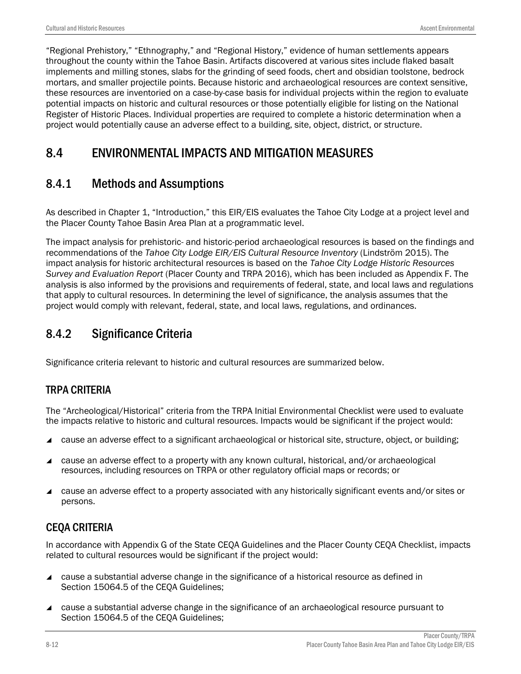"Regional Prehistory," "Ethnography," and "Regional History," evidence of human settlements appears throughout the county within the Tahoe Basin. Artifacts discovered at various sites include flaked basalt implements and milling stones, slabs for the grinding of seed foods, chert and obsidian toolstone, bedrock mortars, and smaller projectile points. Because historic and archaeological resources are context sensitive, these resources are inventoried on a case-by-case basis for individual projects within the region to evaluate potential impacts on historic and cultural resources or those potentially eligible for listing on the National Register of Historic Places. Individual properties are required to complete a historic determination when a project would potentially cause an adverse effect to a building, site, object, district, or structure.

# 8.4 ENVIRONMENTAL IMPACTS AND MITIGATION MEASURES

# 8.4.1 Methods and Assumptions

As described in Chapter 1, "Introduction," this EIR/EIS evaluates the Tahoe City Lodge at a project level and the Placer County Tahoe Basin Area Plan at a programmatic level.

The impact analysis for prehistoric- and historic-period archaeological resources is based on the findings and recommendations of the *Tahoe City Lodge EIR/EIS Cultural Resource Inventory* (Lindström 2015). The impact analysis for historic architectural resources is based on the *Tahoe City Lodge Historic Resources Survey and Evaluation Report* (Placer County and TRPA 2016), which has been included as Appendix F. The analysis is also informed by the provisions and requirements of federal, state, and local laws and regulations that apply to cultural resources. In determining the level of significance, the analysis assumes that the project would comply with relevant, federal, state, and local laws, regulations, and ordinances.

# 8.4.2 Significance Criteria

Significance criteria relevant to historic and cultural resources are summarized below.

# TRPA CRITERIA

The "Archeological/Historical" criteria from the TRPA Initial Environmental Checklist were used to evaluate the impacts relative to historic and cultural resources. Impacts would be significant if the project would:

- cause an adverse effect to a significant archaeological or historical site, structure, object, or building;
- cause an adverse effect to a property with any known cultural, historical, and/or archaeological resources, including resources on TRPA or other regulatory official maps or records; or
- ▲ cause an adverse effect to a property associated with any historically significant events and/or sites or persons.

# CEQA CRITERIA

In accordance with Appendix G of the State CEQA Guidelines and the Placer County CEQA Checklist, impacts related to cultural resources would be significant if the project would:

- cause a substantial adverse change in the significance of a historical resource as defined in Section 15064.5 of the CEQA Guidelines;
- cause a substantial adverse change in the significance of an archaeological resource pursuant to Section 15064.5 of the CEQA Guidelines;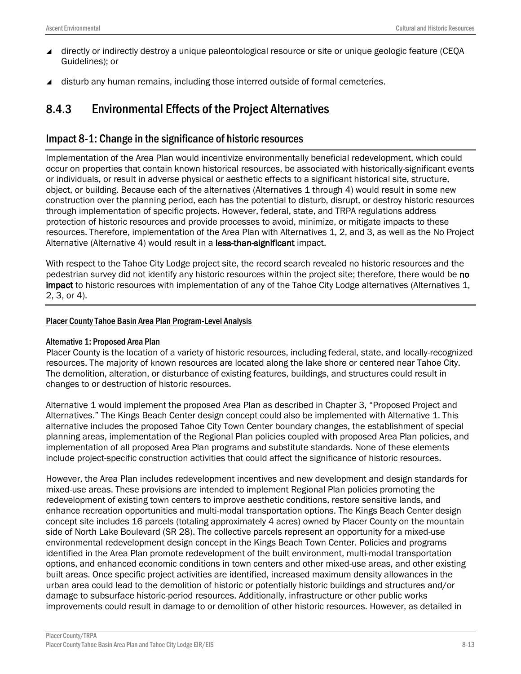- directly or indirectly destroy a unique paleontological resource or site or unique geologic feature (CEQA Guidelines); or
- disturb any human remains, including those interred outside of formal cemeteries.

# 8.4.3 Environmental Effects of the Project Alternatives

### Impact 8-1: Change in the significance of historic resources

Implementation of the Area Plan would incentivize environmentally beneficial redevelopment, which could occur on properties that contain known historical resources, be associated with historically-significant events or individuals, or result in adverse physical or aesthetic effects to a significant historical site, structure, object, or building. Because each of the alternatives (Alternatives 1 through 4) would result in some new construction over the planning period, each has the potential to disturb, disrupt, or destroy historic resources through implementation of specific projects. However, federal, state, and TRPA regulations address protection of historic resources and provide processes to avoid, minimize, or mitigate impacts to these resources. Therefore, implementation of the Area Plan with Alternatives 1, 2, and 3, as well as the No Project Alternative (Alternative 4) would result in a less-than-significant impact.

With respect to the Tahoe City Lodge project site, the record search revealed no historic resources and the pedestrian survey did not identify any historic resources within the project site; therefore, there would be no impact to historic resources with implementation of any of the Tahoe City Lodge alternatives (Alternatives 1, 2, 3, or 4).

#### Placer County Tahoe Basin Area Plan Program-Level Analysis

#### Alternative 1: Proposed Area Plan

Placer County is the location of a variety of historic resources, including federal, state, and locally-recognized resources. The majority of known resources are located along the lake shore or centered near Tahoe City. The demolition, alteration, or disturbance of existing features, buildings, and structures could result in changes to or destruction of historic resources.

Alternative 1 would implement the proposed Area Plan as described in Chapter 3, "Proposed Project and Alternatives." The Kings Beach Center design concept could also be implemented with Alternative 1. This alternative includes the proposed Tahoe City Town Center boundary changes, the establishment of special planning areas, implementation of the Regional Plan policies coupled with proposed Area Plan policies, and implementation of all proposed Area Plan programs and substitute standards. None of these elements include project-specific construction activities that could affect the significance of historic resources.

However, the Area Plan includes redevelopment incentives and new development and design standards for mixed-use areas. These provisions are intended to implement Regional Plan policies promoting the redevelopment of existing town centers to improve aesthetic conditions, restore sensitive lands, and enhance recreation opportunities and multi-modal transportation options. The Kings Beach Center design concept site includes 16 parcels (totaling approximately 4 acres) owned by Placer County on the mountain side of North Lake Boulevard (SR 28). The collective parcels represent an opportunity for a mixed-use environmental redevelopment design concept in the Kings Beach Town Center. Policies and programs identified in the Area Plan promote redevelopment of the built environment, multi-modal transportation options, and enhanced economic conditions in town centers and other mixed-use areas, and other existing built areas. Once specific project activities are identified, increased maximum density allowances in the urban area could lead to the demolition of historic or potentially historic buildings and structures and/or damage to subsurface historic-period resources. Additionally, infrastructure or other public works improvements could result in damage to or demolition of other historic resources. However, as detailed in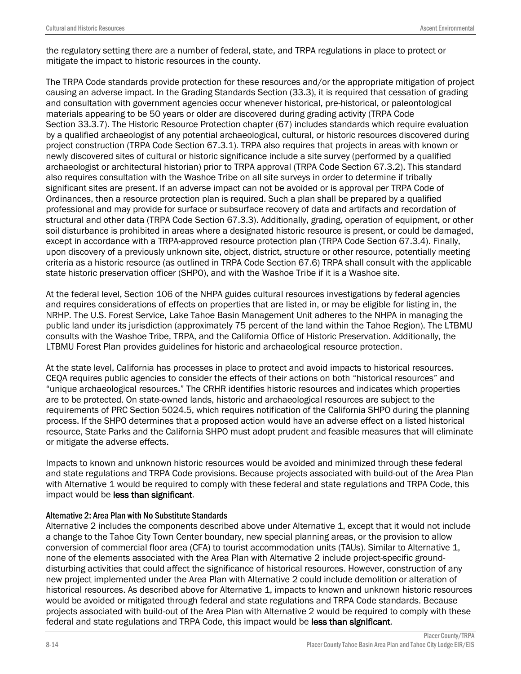the regulatory setting there are a number of federal, state, and TRPA regulations in place to protect or mitigate the impact to historic resources in the county.

The TRPA Code standards provide protection for these resources and/or the appropriate mitigation of project causing an adverse impact. In the Grading Standards Section (33.3), it is required that cessation of grading and consultation with government agencies occur whenever historical, pre-historical, or paleontological materials appearing to be 50 years or older are discovered during grading activity (TRPA Code Section 33.3.7). The Historic Resource Protection chapter (67) includes standards which require evaluation by a qualified archaeologist of any potential archaeological, cultural, or historic resources discovered during project construction (TRPA Code Section 67.3.1). TRPA also requires that projects in areas with known or newly discovered sites of cultural or historic significance include a site survey (performed by a qualified archaeologist or architectural historian) prior to TRPA approval (TRPA Code Section 67.3.2). This standard also requires consultation with the Washoe Tribe on all site surveys in order to determine if tribally significant sites are present. If an adverse impact can not be avoided or is approval per TRPA Code of Ordinances, then a resource protection plan is required. Such a plan shall be prepared by a qualified professional and may provide for surface or subsurface recovery of data and artifacts and recordation of structural and other data (TRPA Code Section 67.3.3). Additionally, grading, operation of equipment, or other soil disturbance is prohibited in areas where a designated historic resource is present, or could be damaged, except in accordance with a TRPA-approved resource protection plan (TRPA Code Section 67.3.4). Finally, upon discovery of a previously unknown site, object, district, structure or other resource, potentially meeting criteria as a historic resource (as outlined in TRPA Code Section 67.6) TRPA shall consult with the applicable state historic preservation officer (SHPO), and with the Washoe Tribe if it is a Washoe site.

At the federal level, Section 106 of the NHPA guides cultural resources investigations by federal agencies and requires considerations of effects on properties that are listed in, or may be eligible for listing in, the NRHP. The U.S. Forest Service, Lake Tahoe Basin Management Unit adheres to the NHPA in managing the public land under its jurisdiction (approximately 75 percent of the land within the Tahoe Region). The LTBMU consults with the Washoe Tribe, TRPA, and the California Office of Historic Preservation. Additionally, the LTBMU Forest Plan provides guidelines for historic and archaeological resource protection.

At the state level, California has processes in place to protect and avoid impacts to historical resources. CEQA requires public agencies to consider the effects of their actions on both "historical resources" and "unique archaeological resources." The CRHR identifies historic resources and indicates which properties are to be protected. On state-owned lands, historic and archaeological resources are subject to the requirements of PRC Section 5024.5, which requires notification of the California SHPO during the planning process. If the SHPO determines that a proposed action would have an adverse effect on a listed historical resource, State Parks and the California SHPO must adopt prudent and feasible measures that will eliminate or mitigate the adverse effects.

Impacts to known and unknown historic resources would be avoided and minimized through these federal and state regulations and TRPA Code provisions. Because projects associated with build-out of the Area Plan with Alternative 1 would be required to comply with these federal and state regulations and TRPA Code, this impact would be less than significant.

#### Alternative 2: Area Plan with No Substitute Standards

Alternative 2 includes the components described above under Alternative 1, except that it would not include a change to the Tahoe City Town Center boundary, new special planning areas, or the provision to allow conversion of commercial floor area (CFA) to tourist accommodation units (TAUs). Similar to Alternative 1, none of the elements associated with the Area Plan with Alternative 2 include project-specific grounddisturbing activities that could affect the significance of historical resources. However, construction of any new project implemented under the Area Plan with Alternative 2 could include demolition or alteration of historical resources. As described above for Alternative 1, impacts to known and unknown historic resources would be avoided or mitigated through federal and state regulations and TRPA Code standards. Because projects associated with build-out of the Area Plan with Alternative 2 would be required to comply with these federal and state regulations and TRPA Code, this impact would be less than significant.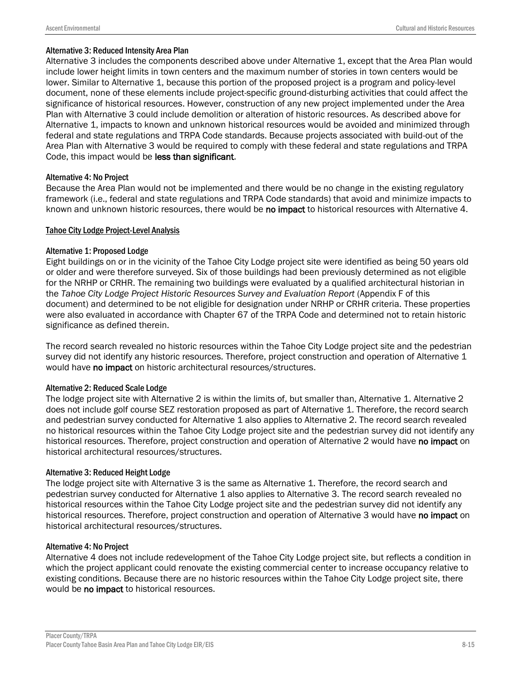#### Alternative 3: Reduced Intensity Area Plan

Alternative 3 includes the components described above under Alternative 1, except that the Area Plan would include lower height limits in town centers and the maximum number of stories in town centers would be lower. Similar to Alternative 1, because this portion of the proposed project is a program and policy-level document, none of these elements include project-specific ground-disturbing activities that could affect the significance of historical resources. However, construction of any new project implemented under the Area Plan with Alternative 3 could include demolition or alteration of historic resources. As described above for Alternative 1, impacts to known and unknown historical resources would be avoided and minimized through federal and state regulations and TRPA Code standards. Because projects associated with build-out of the Area Plan with Alternative 3 would be required to comply with these federal and state regulations and TRPA Code, this impact would be less than significant.

#### Alternative 4: No Project

Because the Area Plan would not be implemented and there would be no change in the existing regulatory framework (i.e., federal and state regulations and TRPA Code standards) that avoid and minimize impacts to known and unknown historic resources, there would be no impact to historical resources with Alternative 4.

#### Tahoe City Lodge Project-Level Analysis

#### Alternative 1: Proposed Lodge

Eight buildings on or in the vicinity of the Tahoe City Lodge project site were identified as being 50 years old or older and were therefore surveyed. Six of those buildings had been previously determined as not eligible for the NRHP or CRHR. The remaining two buildings were evaluated by a qualified architectural historian in the *Tahoe City Lodge Project Historic Resources Survey and Evaluation Report* (Appendix F of this document) and determined to be not eligible for designation under NRHP or CRHR criteria. These properties were also evaluated in accordance with Chapter 67 of the TRPA Code and determined not to retain historic significance as defined therein.

The record search revealed no historic resources within the Tahoe City Lodge project site and the pedestrian survey did not identify any historic resources. Therefore, project construction and operation of Alternative 1 would have no impact on historic architectural resources/structures.

#### Alternative 2: Reduced Scale Lodge

The lodge project site with Alternative 2 is within the limits of, but smaller than, Alternative 1. Alternative 2 does not include golf course SEZ restoration proposed as part of Alternative 1. Therefore, the record search and pedestrian survey conducted for Alternative 1 also applies to Alternative 2. The record search revealed no historical resources within the Tahoe City Lodge project site and the pedestrian survey did not identify any historical resources. Therefore, project construction and operation of Alternative 2 would have no impact on historical architectural resources/structures.

#### Alternative 3: Reduced Height Lodge

The lodge project site with Alternative 3 is the same as Alternative 1. Therefore, the record search and pedestrian survey conducted for Alternative 1 also applies to Alternative 3. The record search revealed no historical resources within the Tahoe City Lodge project site and the pedestrian survey did not identify any historical resources. Therefore, project construction and operation of Alternative 3 would have no impact on historical architectural resources/structures.

#### Alternative 4: No Project

Alternative 4 does not include redevelopment of the Tahoe City Lodge project site, but reflects a condition in which the project applicant could renovate the existing commercial center to increase occupancy relative to existing conditions. Because there are no historic resources within the Tahoe City Lodge project site, there would be no impact to historical resources.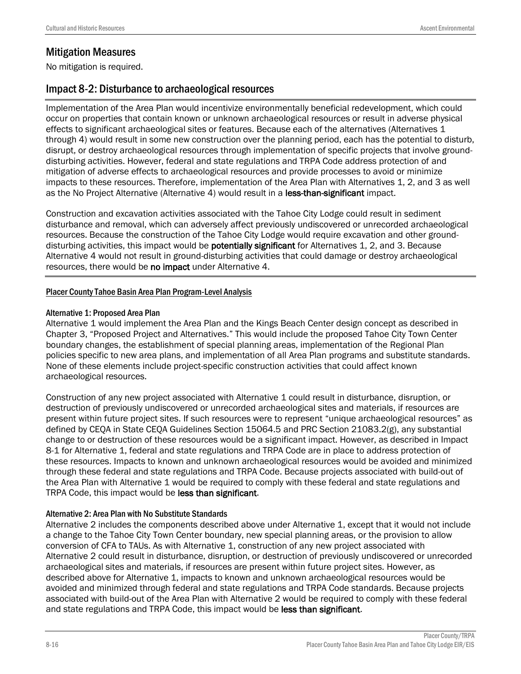# Mitigation Measures

No mitigation is required.

## Impact 8-2: Disturbance to archaeological resources

Implementation of the Area Plan would incentivize environmentally beneficial redevelopment, which could occur on properties that contain known or unknown archaeological resources or result in adverse physical effects to significant archaeological sites or features. Because each of the alternatives (Alternatives 1 through 4) would result in some new construction over the planning period, each has the potential to disturb, disrupt, or destroy archaeological resources through implementation of specific projects that involve grounddisturbing activities. However, federal and state regulations and TRPA Code address protection of and mitigation of adverse effects to archaeological resources and provide processes to avoid or minimize impacts to these resources. Therefore, implementation of the Area Plan with Alternatives 1, 2, and 3 as well as the No Project Alternative (Alternative 4) would result in a less-than-significant impact.

Construction and excavation activities associated with the Tahoe City Lodge could result in sediment disturbance and removal, which can adversely affect previously undiscovered or unrecorded archaeological resources. Because the construction of the Tahoe City Lodge would require excavation and other grounddisturbing activities, this impact would be **potentially significant** for Alternatives 1, 2, and 3. Because Alternative 4 would not result in ground-disturbing activities that could damage or destroy archaeological resources, there would be no impact under Alternative 4.

#### Placer County Tahoe Basin Area Plan Program-Level Analysis

#### Alternative 1: Proposed Area Plan

Alternative 1 would implement the Area Plan and the Kings Beach Center design concept as described in Chapter 3, "Proposed Project and Alternatives." This would include the proposed Tahoe City Town Center boundary changes, the establishment of special planning areas, implementation of the Regional Plan policies specific to new area plans, and implementation of all Area Plan programs and substitute standards. None of these elements include project-specific construction activities that could affect known archaeological resources.

Construction of any new project associated with Alternative 1 could result in disturbance, disruption, or destruction of previously undiscovered or unrecorded archaeological sites and materials, if resources are present within future project sites. If such resources were to represent "unique archaeological resources" as defined by CEQA in State CEQA Guidelines Section 15064.5 and PRC Section 21083.2(g), any substantial change to or destruction of these resources would be a significant impact. However, as described in Impact 8-1 for Alternative 1, federal and state regulations and TRPA Code are in place to address protection of these resources. Impacts to known and unknown archaeological resources would be avoided and minimized through these federal and state regulations and TRPA Code. Because projects associated with build-out of the Area Plan with Alternative 1 would be required to comply with these federal and state regulations and TRPA Code, this impact would be less than significant.

#### Alternative 2: Area Plan with No Substitute Standards

Alternative 2 includes the components described above under Alternative 1, except that it would not include a change to the Tahoe City Town Center boundary, new special planning areas, or the provision to allow conversion of CFA to TAUs. As with Alternative 1, construction of any new project associated with Alternative 2 could result in disturbance, disruption, or destruction of previously undiscovered or unrecorded archaeological sites and materials, if resources are present within future project sites. However, as described above for Alternative 1, impacts to known and unknown archaeological resources would be avoided and minimized through federal and state regulations and TRPA Code standards. Because projects associated with build-out of the Area Plan with Alternative 2 would be required to comply with these federal and state regulations and TRPA Code, this impact would be less than significant.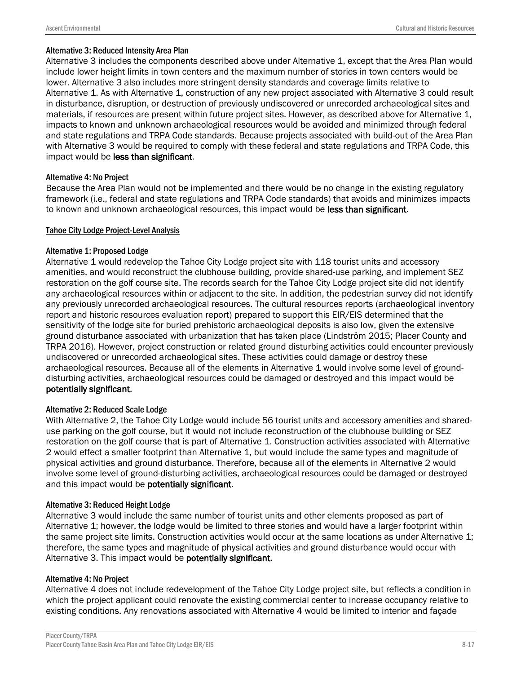#### Alternative 3: Reduced Intensity Area Plan

Alternative 3 includes the components described above under Alternative 1, except that the Area Plan would include lower height limits in town centers and the maximum number of stories in town centers would be lower. Alternative 3 also includes more stringent density standards and coverage limits relative to Alternative 1. As with Alternative 1, construction of any new project associated with Alternative 3 could result in disturbance, disruption, or destruction of previously undiscovered or unrecorded archaeological sites and materials, if resources are present within future project sites. However, as described above for Alternative 1, impacts to known and unknown archaeological resources would be avoided and minimized through federal and state regulations and TRPA Code standards. Because projects associated with build-out of the Area Plan with Alternative 3 would be required to comply with these federal and state regulations and TRPA Code, this impact would be less than significant.

#### Alternative 4: No Project

Because the Area Plan would not be implemented and there would be no change in the existing regulatory framework (i.e., federal and state regulations and TRPA Code standards) that avoids and minimizes impacts to known and unknown archaeological resources, this impact would be less than significant.

#### Tahoe City Lodge Project-Level Analysis

#### Alternative 1: Proposed Lodge

Alternative 1 would redevelop the Tahoe City Lodge project site with 118 tourist units and accessory amenities, and would reconstruct the clubhouse building, provide shared-use parking, and implement SEZ restoration on the golf course site. The records search for the Tahoe City Lodge project site did not identify any archaeological resources within or adjacent to the site. In addition, the pedestrian survey did not identify any previously unrecorded archaeological resources. The cultural resources reports (archaeological inventory report and historic resources evaluation report) prepared to support this EIR/EIS determined that the sensitivity of the lodge site for buried prehistoric archaeological deposits is also low, given the extensive ground disturbance associated with urbanization that has taken place (Lindström 2015; Placer County and TRPA 2016). However, project construction or related ground disturbing activities could encounter previously undiscovered or unrecorded archaeological sites. These activities could damage or destroy these archaeological resources. Because all of the elements in Alternative 1 would involve some level of grounddisturbing activities, archaeological resources could be damaged or destroyed and this impact would be potentially significant.

#### Alternative 2: Reduced Scale Lodge

With Alternative 2, the Tahoe City Lodge would include 56 tourist units and accessory amenities and shareduse parking on the golf course, but it would not include reconstruction of the clubhouse building or SEZ restoration on the golf course that is part of Alternative 1. Construction activities associated with Alternative 2 would effect a smaller footprint than Alternative 1, but would include the same types and magnitude of physical activities and ground disturbance. Therefore, because all of the elements in Alternative 2 would involve some level of ground-disturbing activities, archaeological resources could be damaged or destroyed and this impact would be potentially significant.

#### Alternative 3: Reduced Height Lodge

Alternative 3 would include the same number of tourist units and other elements proposed as part of Alternative 1; however, the lodge would be limited to three stories and would have a larger footprint within the same project site limits. Construction activities would occur at the same locations as under Alternative 1; therefore, the same types and magnitude of physical activities and ground disturbance would occur with Alternative 3. This impact would be potentially significant.

#### Alternative 4: No Project

Alternative 4 does not include redevelopment of the Tahoe City Lodge project site, but reflects a condition in which the project applicant could renovate the existing commercial center to increase occupancy relative to existing conditions. Any renovations associated with Alternative 4 would be limited to interior and façade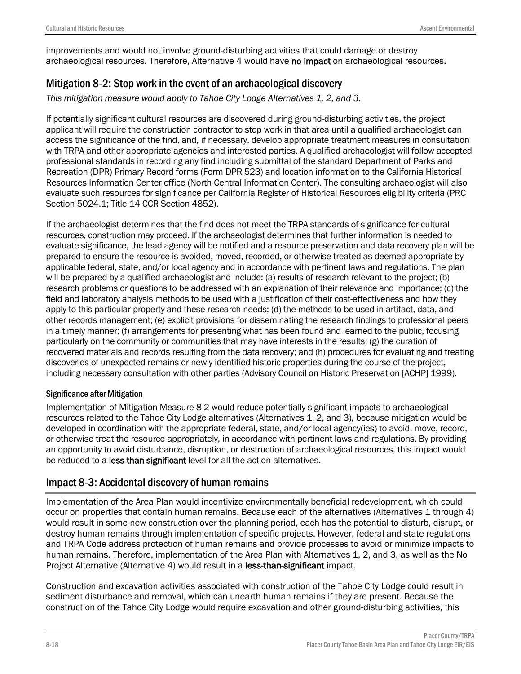improvements and would not involve ground-disturbing activities that could damage or destroy archaeological resources. Therefore, Alternative 4 would have no impact on archaeological resources.

# Mitigation 8-2: Stop work in the event of an archaeological discovery

*This mitigation measure would apply to Tahoe City Lodge Alternatives 1, 2, and 3.* 

If potentially significant cultural resources are discovered during ground-disturbing activities, the project applicant will require the construction contractor to stop work in that area until a qualified archaeologist can access the significance of the find, and, if necessary, develop appropriate treatment measures in consultation with TRPA and other appropriate agencies and interested parties. A qualified archaeologist will follow accepted professional standards in recording any find including submittal of the standard Department of Parks and Recreation (DPR) Primary Record forms (Form DPR 523) and location information to the California Historical Resources Information Center office (North Central Information Center). The consulting archaeologist will also evaluate such resources for significance per California Register of Historical Resources eligibility criteria (PRC Section 5024.1; Title 14 CCR Section 4852).

If the archaeologist determines that the find does not meet the TRPA standards of significance for cultural resources, construction may proceed. If the archaeologist determines that further information is needed to evaluate significance, the lead agency will be notified and a resource preservation and data recovery plan will be prepared to ensure the resource is avoided, moved, recorded, or otherwise treated as deemed appropriate by applicable federal, state, and/or local agency and in accordance with pertinent laws and regulations. The plan will be prepared by a qualified archaeologist and include: (a) results of research relevant to the project; (b) research problems or questions to be addressed with an explanation of their relevance and importance; (c) the field and laboratory analysis methods to be used with a justification of their cost-effectiveness and how they apply to this particular property and these research needs; (d) the methods to be used in artifact, data, and other records management; (e) explicit provisions for disseminating the research findings to professional peers in a timely manner; (f) arrangements for presenting what has been found and learned to the public, focusing particularly on the community or communities that may have interests in the results; (g) the curation of recovered materials and records resulting from the data recovery; and (h) procedures for evaluating and treating discoveries of unexpected remains or newly identified historic properties during the course of the project, including necessary consultation with other parties (Advisory Council on Historic Preservation [ACHP] 1999).

#### Significance after Mitigation

Implementation of Mitigation Measure 8-2 would reduce potentially significant impacts to archaeological resources related to the Tahoe City Lodge alternatives (Alternatives 1, 2, and 3), because mitigation would be developed in coordination with the appropriate federal, state, and/or local agency(ies) to avoid, move, record, or otherwise treat the resource appropriately, in accordance with pertinent laws and regulations. By providing an opportunity to avoid disturbance, disruption, or destruction of archaeological resources, this impact would be reduced to a less-than-significant level for all the action alternatives.

# Impact 8-3: Accidental discovery of human remains

Implementation of the Area Plan would incentivize environmentally beneficial redevelopment, which could occur on properties that contain human remains. Because each of the alternatives (Alternatives 1 through 4) would result in some new construction over the planning period, each has the potential to disturb, disrupt, or destroy human remains through implementation of specific projects. However, federal and state regulations and TRPA Code address protection of human remains and provide processes to avoid or minimize impacts to human remains. Therefore, implementation of the Area Plan with Alternatives 1, 2, and 3, as well as the No Project Alternative (Alternative 4) would result in a less-than-significant impact.

Construction and excavation activities associated with construction of the Tahoe City Lodge could result in sediment disturbance and removal, which can unearth human remains if they are present. Because the construction of the Tahoe City Lodge would require excavation and other ground-disturbing activities, this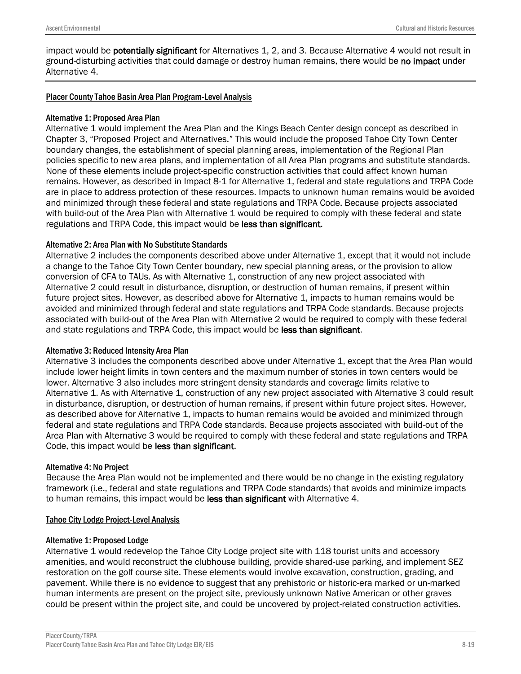impact would be potentially significant for Alternatives 1, 2, and 3. Because Alternative 4 would not result in ground-disturbing activities that could damage or destroy human remains, there would be no impact under Alternative 4.

#### Placer County Tahoe Basin Area Plan Program-Level Analysis

#### Alternative 1: Proposed Area Plan

Alternative 1 would implement the Area Plan and the Kings Beach Center design concept as described in Chapter 3, "Proposed Project and Alternatives." This would include the proposed Tahoe City Town Center boundary changes, the establishment of special planning areas, implementation of the Regional Plan policies specific to new area plans, and implementation of all Area Plan programs and substitute standards. None of these elements include project-specific construction activities that could affect known human remains. However, as described in Impact 8-1 for Alternative 1, federal and state regulations and TRPA Code are in place to address protection of these resources. Impacts to unknown human remains would be avoided and minimized through these federal and state regulations and TRPA Code. Because projects associated with build-out of the Area Plan with Alternative 1 would be required to comply with these federal and state regulations and TRPA Code, this impact would be less than significant.

#### Alternative 2: Area Plan with No Substitute Standards

Alternative 2 includes the components described above under Alternative 1, except that it would not include a change to the Tahoe City Town Center boundary, new special planning areas, or the provision to allow conversion of CFA to TAUs. As with Alternative 1, construction of any new project associated with Alternative 2 could result in disturbance, disruption, or destruction of human remains, if present within future project sites. However, as described above for Alternative 1, impacts to human remains would be avoided and minimized through federal and state regulations and TRPA Code standards. Because projects associated with build-out of the Area Plan with Alternative 2 would be required to comply with these federal and state regulations and TRPA Code, this impact would be less than significant.

#### Alternative 3: Reduced Intensity Area Plan

Alternative 3 includes the components described above under Alternative 1, except that the Area Plan would include lower height limits in town centers and the maximum number of stories in town centers would be lower. Alternative 3 also includes more stringent density standards and coverage limits relative to Alternative 1. As with Alternative 1, construction of any new project associated with Alternative 3 could result in disturbance, disruption, or destruction of human remains, if present within future project sites. However, as described above for Alternative 1, impacts to human remains would be avoided and minimized through federal and state regulations and TRPA Code standards. Because projects associated with build-out of the Area Plan with Alternative 3 would be required to comply with these federal and state regulations and TRPA Code, this impact would be less than significant.

#### Alternative 4: No Project

Because the Area Plan would not be implemented and there would be no change in the existing regulatory framework (i.e., federal and state regulations and TRPA Code standards) that avoids and minimize impacts to human remains, this impact would be less than significant with Alternative 4.

#### Tahoe City Lodge Project-Level Analysis

#### Alternative 1: Proposed Lodge

Alternative 1 would redevelop the Tahoe City Lodge project site with 118 tourist units and accessory amenities, and would reconstruct the clubhouse building, provide shared-use parking, and implement SEZ restoration on the golf course site. These elements would involve excavation, construction, grading, and pavement. While there is no evidence to suggest that any prehistoric or historic-era marked or un-marked human interments are present on the project site, previously unknown Native American or other graves could be present within the project site, and could be uncovered by project-related construction activities.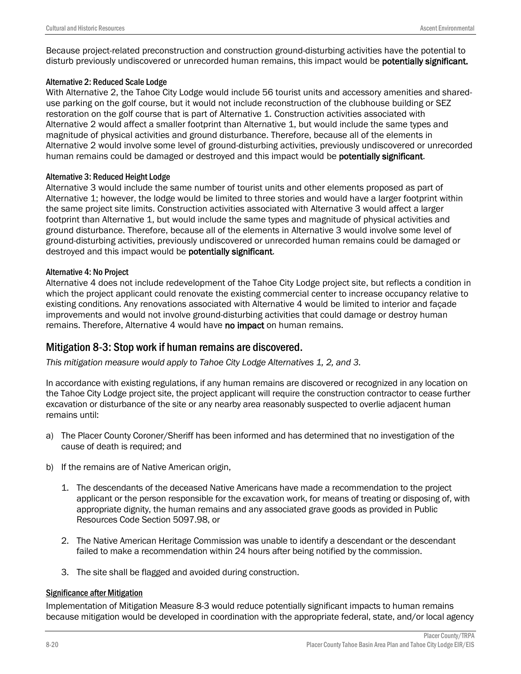Because project-related preconstruction and construction ground-disturbing activities have the potential to disturb previously undiscovered or unrecorded human remains, this impact would be **potentially significant.** 

#### Alternative 2: Reduced Scale Lodge

With Alternative 2, the Tahoe City Lodge would include 56 tourist units and accessory amenities and shareduse parking on the golf course, but it would not include reconstruction of the clubhouse building or SEZ restoration on the golf course that is part of Alternative 1. Construction activities associated with Alternative 2 would affect a smaller footprint than Alternative 1, but would include the same types and magnitude of physical activities and ground disturbance. Therefore, because all of the elements in Alternative 2 would involve some level of ground-disturbing activities, previously undiscovered or unrecorded human remains could be damaged or destroyed and this impact would be **potentially significant**.

#### Alternative 3: Reduced Height Lodge

Alternative 3 would include the same number of tourist units and other elements proposed as part of Alternative 1; however, the lodge would be limited to three stories and would have a larger footprint within the same project site limits. Construction activities associated with Alternative 3 would affect a larger footprint than Alternative 1, but would include the same types and magnitude of physical activities and ground disturbance. Therefore, because all of the elements in Alternative 3 would involve some level of ground-disturbing activities, previously undiscovered or unrecorded human remains could be damaged or destroyed and this impact would be **potentially significant**.

#### Alternative 4: No Project

Alternative 4 does not include redevelopment of the Tahoe City Lodge project site, but reflects a condition in which the project applicant could renovate the existing commercial center to increase occupancy relative to existing conditions. Any renovations associated with Alternative 4 would be limited to interior and façade improvements and would not involve ground-disturbing activities that could damage or destroy human remains. Therefore, Alternative 4 would have no impact on human remains.

### Mitigation 8-3: Stop work if human remains are discovered.

*This mitigation measure would apply to Tahoe City Lodge Alternatives 1, 2, and 3.*

In accordance with existing regulations, if any human remains are discovered or recognized in any location on the Tahoe City Lodge project site, the project applicant will require the construction contractor to cease further excavation or disturbance of the site or any nearby area reasonably suspected to overlie adjacent human remains until:

- a) The Placer County Coroner/Sheriff has been informed and has determined that no investigation of the cause of death is required; and
- b) If the remains are of Native American origin,
	- 1. The descendants of the deceased Native Americans have made a recommendation to the project applicant or the person responsible for the excavation work, for means of treating or disposing of, with appropriate dignity, the human remains and any associated grave goods as provided in Public Resources Code Section 5097.98, or
	- 2. The Native American Heritage Commission was unable to identify a descendant or the descendant failed to make a recommendation within 24 hours after being notified by the commission.
	- 3. The site shall be flagged and avoided during construction.

#### Significance after Mitigation

Implementation of Mitigation Measure 8-3 would reduce potentially significant impacts to human remains because mitigation would be developed in coordination with the appropriate federal, state, and/or local agency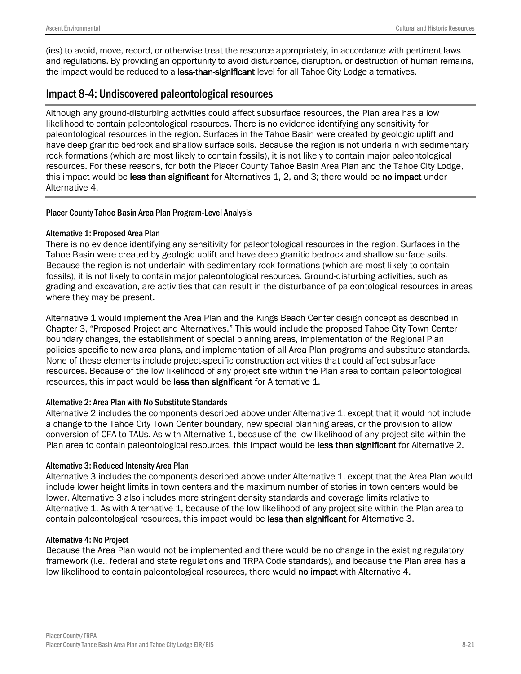(ies) to avoid, move, record, or otherwise treat the resource appropriately, in accordance with pertinent laws and regulations. By providing an opportunity to avoid disturbance, disruption, or destruction of human remains, the impact would be reduced to a less-than-significant level for all Tahoe City Lodge alternatives.

# Impact 8-4: Undiscovered paleontological resources

Although any ground-disturbing activities could affect subsurface resources, the Plan area has a low likelihood to contain paleontological resources. There is no evidence identifying any sensitivity for paleontological resources in the region. Surfaces in the Tahoe Basin were created by geologic uplift and have deep granitic bedrock and shallow surface soils. Because the region is not underlain with sedimentary rock formations (which are most likely to contain fossils), it is not likely to contain major paleontological resources. For these reasons, for both the Placer County Tahoe Basin Area Plan and the Tahoe City Lodge, this impact would be less than significant for Alternatives 1, 2, and 3; there would be no impact under Alternative 4.

### Placer County Tahoe Basin Area Plan Program-Level Analysis

### Alternative 1: Proposed Area Plan

There is no evidence identifying any sensitivity for paleontological resources in the region. Surfaces in the Tahoe Basin were created by geologic uplift and have deep granitic bedrock and shallow surface soils. Because the region is not underlain with sedimentary rock formations (which are most likely to contain fossils), it is not likely to contain major paleontological resources. Ground-disturbing activities, such as grading and excavation, are activities that can result in the disturbance of paleontological resources in areas where they may be present.

Alternative 1 would implement the Area Plan and the Kings Beach Center design concept as described in Chapter 3, "Proposed Project and Alternatives." This would include the proposed Tahoe City Town Center boundary changes, the establishment of special planning areas, implementation of the Regional Plan policies specific to new area plans, and implementation of all Area Plan programs and substitute standards. None of these elements include project-specific construction activities that could affect subsurface resources. Because of the low likelihood of any project site within the Plan area to contain paleontological resources, this impact would be less than significant for Alternative 1.

#### Alternative 2: Area Plan with No Substitute Standards

Alternative 2 includes the components described above under Alternative 1, except that it would not include a change to the Tahoe City Town Center boundary, new special planning areas, or the provision to allow conversion of CFA to TAUs. As with Alternative 1, because of the low likelihood of any project site within the Plan area to contain paleontological resources, this impact would be less than significant for Alternative 2.

#### Alternative 3: Reduced Intensity Area Plan

Alternative 3 includes the components described above under Alternative 1, except that the Area Plan would include lower height limits in town centers and the maximum number of stories in town centers would be lower. Alternative 3 also includes more stringent density standards and coverage limits relative to Alternative 1. As with Alternative 1, because of the low likelihood of any project site within the Plan area to contain paleontological resources, this impact would be less than significant for Alternative 3.

#### Alternative 4: No Project

Because the Area Plan would not be implemented and there would be no change in the existing regulatory framework (i.e., federal and state regulations and TRPA Code standards), and because the Plan area has a low likelihood to contain paleontological resources, there would no impact with Alternative 4.